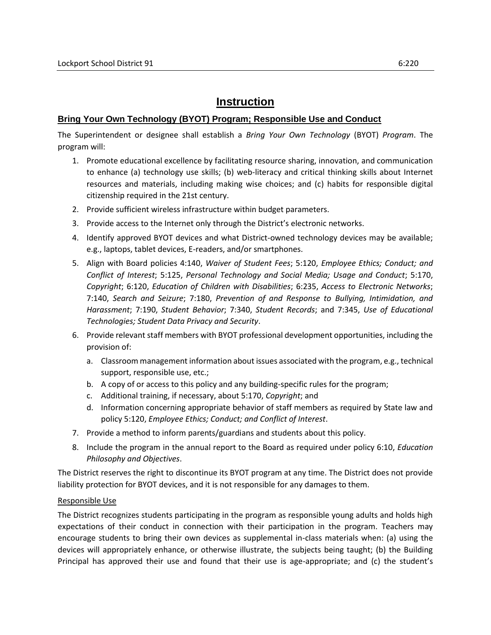## **Instruction**

## **Bring Your Own Technology (BYOT) Program; Responsible Use and Conduct**

The Superintendent or designee shall establish a *Bring Your Own Technology* (BYOT) *Program*. The program will:

- 1. Promote educational excellence by facilitating resource sharing, innovation, and communication to enhance (a) technology use skills; (b) web-literacy and critical thinking skills about Internet resources and materials, including making wise choices; and (c) habits for responsible digital citizenship required in the 21st century.
- 2. Provide sufficient wireless infrastructure within budget parameters.
- 3. Provide access to the Internet only through the District's electronic networks.
- 4. Identify approved BYOT devices and what District-owned technology devices may be available; e.g., laptops, tablet devices, E-readers, and/or smartphones.
- 5. Align with Board policies 4:140, *Waiver of Student Fees*; 5:120, *Employee Ethics; Conduct; and Conflict of Interest*; 5:125, *Personal Technology and Social Media; Usage and Conduct*; 5:170, *Copyright*; 6:120, *Education of Children with Disabilities*; 6:235, *Access to Electronic Networks*; 7:140, *Search and Seizure*; 7:180, *Prevention of and Response to Bullying, Intimidation, and Harassment*; 7:190, *Student Behavior*; 7:340, *Student Records*; and 7:345, *Use of Educational Technologies; Student Data Privacy and Security*.
- 6. Provide relevant staff members with BYOT professional development opportunities, including the provision of:
	- a. Classroom management information about issues associated with the program, e.g., technical support, responsible use, etc.;
	- b. A copy of or access to this policy and any building-specific rules for the program;
	- c. Additional training, if necessary, about 5:170, *Copyright*; and
	- d. Information concerning appropriate behavior of staff members as required by State law and policy 5:120, *Employee Ethics; Conduct; and Conflict of Interest*.
- 7. Provide a method to inform parents/guardians and students about this policy.
- 8. Include the program in the annual report to the Board as required under policy 6:10, *Education Philosophy and Objectives*.

The District reserves the right to discontinue its BYOT program at any time. The District does not provide liability protection for BYOT devices, and it is not responsible for any damages to them.

## Responsible Use

The District recognizes students participating in the program as responsible young adults and holds high expectations of their conduct in connection with their participation in the program. Teachers may encourage students to bring their own devices as supplemental in-class materials when: (a) using the devices will appropriately enhance, or otherwise illustrate, the subjects being taught; (b) the Building Principal has approved their use and found that their use is age-appropriate; and (c) the student's